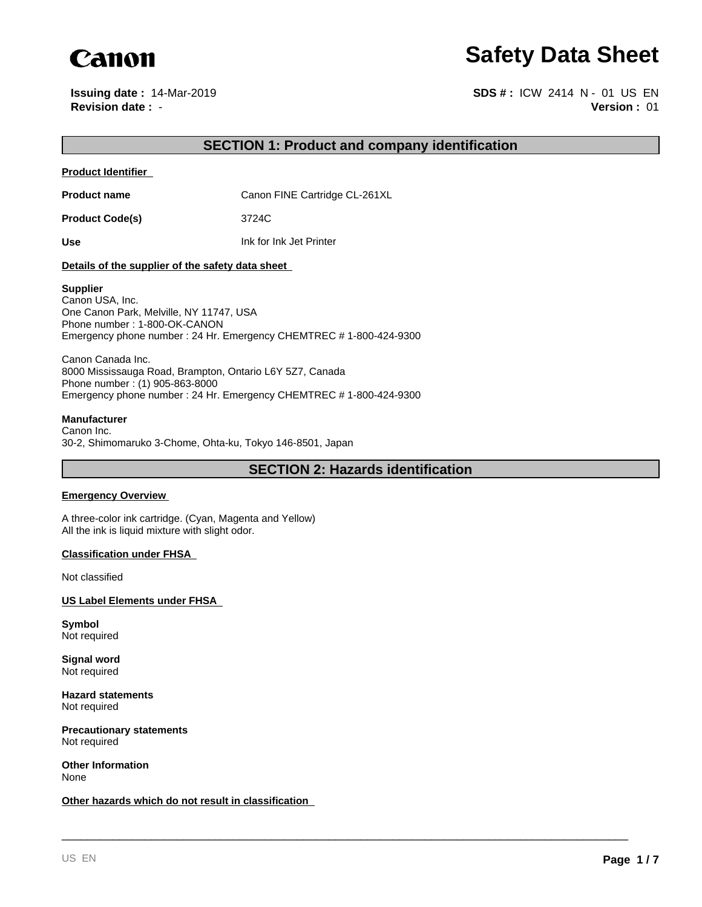

**Issuing date :** 14-Mar-2019

**Canon**<br> **Revision date : 14-Mar-2019**<br> **Revision date : - Safety Data Sheet**<br> **Revision date : - SDS # : ICW 2414 N - 01 US EN**<br> **Version : 01 Version :** 01 **SDS # :** ICW 2414 N - 01 US EN

## **SECTION 1: Product and company identification**

**Product Identifier** 

**Product name** Canon FINE Cartridge CL-261XL

**Product Code(s)** 3724C

**Use** Ink for Ink Jet Printer

## **Details of the supplier of the safety data sheet**

#### **Supplier**

Canon USA, Inc. One Canon Park, Melville, NY 11747, USA Phone number : 1-800-OK-CANON Emergency phone number : 24 Hr. Emergency CHEMTREC # 1-800-424-9300

Canon Canada Inc. 8000 Mississauga Road, Brampton, Ontario L6Y 5Z7, Canada Phone number : (1) 905-863-8000 Emergency phone number : 24 Hr. Emergency CHEMTREC # 1-800-424-9300

## **Manufacturer**

Canon Inc. 30-2, Shimomaruko 3-Chome, Ohta-ku, Tokyo 146-8501, Japan

**SECTION 2: Hazards identification**

\_\_\_\_\_\_\_\_\_\_\_\_\_\_\_\_\_\_\_\_\_\_\_\_\_\_\_\_\_\_\_\_\_\_\_\_\_\_\_\_\_\_\_\_\_\_\_\_\_\_\_\_\_\_\_\_\_\_\_\_\_\_\_\_\_\_\_\_\_\_\_\_\_\_\_\_\_\_\_\_\_\_\_\_\_\_\_\_\_

### **Emergency Overview**

A three-color ink cartridge. (Cyan, Magenta and Yellow) All the ink is liquid mixture with slight odor.

### **Classification under FHSA**

Not classified

**US Label Elements under FHSA** 

**Symbol** Not required

**Signal word** Not required

**Hazard statements** Not required

**Precautionary statements** Not required

**Other Information** None

**Other hazards which do not result in classification**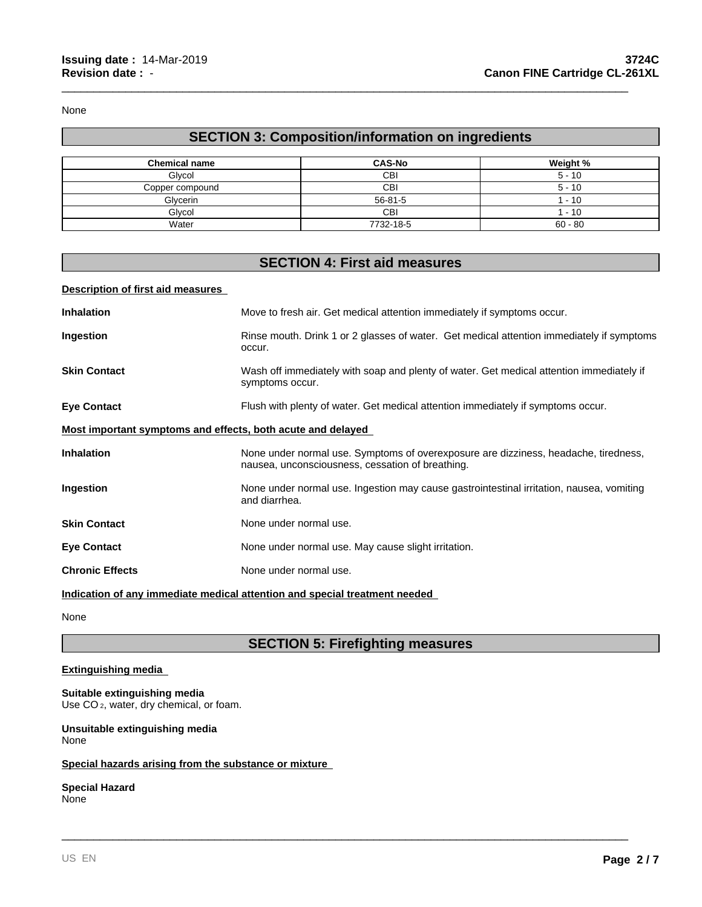None

# **SECTION 3: Composition/information on ingredients**

\_\_\_\_\_\_\_\_\_\_\_\_\_\_\_\_\_\_\_\_\_\_\_\_\_\_\_\_\_\_\_\_\_\_\_\_\_\_\_\_\_\_\_\_\_\_\_\_\_\_\_\_\_\_\_\_\_\_\_\_\_\_\_\_\_\_\_\_\_\_\_\_\_\_\_\_\_\_\_\_\_\_\_\_\_\_\_\_\_

| <b>Chemical name</b> | <b>CAS-No</b> | Weight %  |
|----------------------|---------------|-----------|
| Glycol               | CBI           | $5 - 10$  |
| Copper compound      | CBI           | $5 - 10$  |
| Glycerin             | $56 - 81 - 5$ | $-10$     |
| Glycol               | CBI           | $-10$     |
| Water                | 7732-18-5     | $60 - 80$ |

## **SECTION 4: First aid measures**

## **Description of first aid measures**

| <b>Inhalation</b>                                                          | Move to fresh air. Get medical attention immediately if symptoms occur.                                                                 |
|----------------------------------------------------------------------------|-----------------------------------------------------------------------------------------------------------------------------------------|
| Ingestion                                                                  | Rinse mouth. Drink 1 or 2 glasses of water. Get medical attention immediately if symptoms<br>occur.                                     |
| <b>Skin Contact</b>                                                        | Wash off immediately with soap and plenty of water. Get medical attention immediately if<br>symptoms occur.                             |
| <b>Eye Contact</b>                                                         | Flush with plenty of water. Get medical attention immediately if symptoms occur.                                                        |
| Most important symptoms and effects, both acute and delayed                |                                                                                                                                         |
| <b>Inhalation</b>                                                          | None under normal use. Symptoms of overexposure are dizziness, headache, tiredness,<br>nausea, unconsciousness, cessation of breathing. |
| Ingestion                                                                  | None under normal use. Ingestion may cause gastrointestinal irritation, nausea, vomiting<br>and diarrhea.                               |
| <b>Skin Contact</b>                                                        | None under normal use.                                                                                                                  |
| <b>Eye Contact</b>                                                         | None under normal use. May cause slight irritation.                                                                                     |
| <b>Chronic Effects</b>                                                     | None under normal use.                                                                                                                  |
| Indication of any immediate medical attention and special treatment needed |                                                                                                                                         |

None

# **SECTION 5: Firefighting measures**

\_\_\_\_\_\_\_\_\_\_\_\_\_\_\_\_\_\_\_\_\_\_\_\_\_\_\_\_\_\_\_\_\_\_\_\_\_\_\_\_\_\_\_\_\_\_\_\_\_\_\_\_\_\_\_\_\_\_\_\_\_\_\_\_\_\_\_\_\_\_\_\_\_\_\_\_\_\_\_\_\_\_\_\_\_\_\_\_\_

## **Extinguishing media**

**Suitable extinguishing media** Use CO<sub>2</sub>, water, dry chemical, or foam.

#### **Unsuitable extinguishing media** None

## **Special hazards arising from the substance or mixture**

## **Special Hazard** None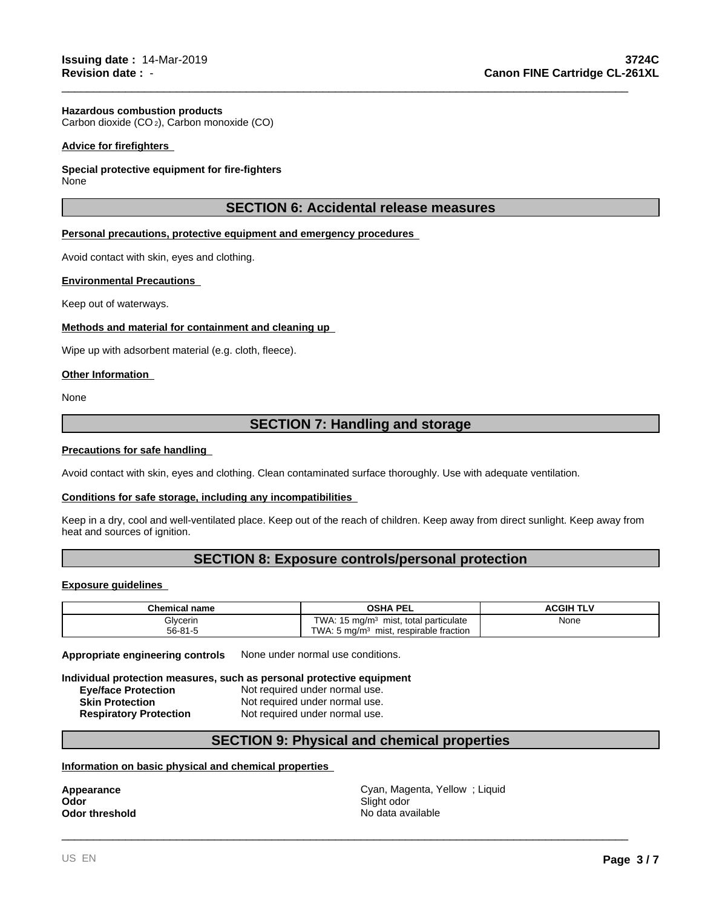## **Hazardous combustion products**

Carbon dioxide (CO 2), Carbon monoxide (CO)

## **Advice for firefighters**

## **Special protective equipment for fire-fighters**

None

## **SECTION 6: Accidental release measures**

\_\_\_\_\_\_\_\_\_\_\_\_\_\_\_\_\_\_\_\_\_\_\_\_\_\_\_\_\_\_\_\_\_\_\_\_\_\_\_\_\_\_\_\_\_\_\_\_\_\_\_\_\_\_\_\_\_\_\_\_\_\_\_\_\_\_\_\_\_\_\_\_\_\_\_\_\_\_\_\_\_\_\_\_\_\_\_\_\_

## **Personal precautions, protective equipment and emergency procedures**

Avoid contact with skin, eyes and clothing.

## **Environmental Precautions**

Keep out of waterways.

## **Methods and material for containment and cleaning up**

Wipe up with adsorbent material (e.g. cloth, fleece).

#### **Other Information**

None

## **SECTION 7: Handling and storage**

## **Precautions for safe handling**

Avoid contact with skin, eyes and clothing. Clean contaminated surface thoroughly. Use with adequate ventilation.

### **Conditions for safe storage, including any incompatibilities**

Keep in a dry, cool and well-ventilated place. Keep out of the reach of children. Keep away from direct sunlight. Keep away from heat and sources of ignition.

## **SECTION 8: Exposure controls/personal protection**

## **Exposure guidelines**

| Chemical name | <b>PEL</b><br>OSHA                                        | ACGIH TI <sup>v</sup> |
|---------------|-----------------------------------------------------------|-----------------------|
| Glycerin      | TWA.<br>, total particulate<br>15 mg/m $\degree$<br>mist, | None                  |
| $56 - 81 - 5$ | TWA.<br>respirable fraction<br>. 5 ma/m $^3$<br>mist,     |                       |

**Appropriate engineering controls** None under normal use conditions.

**Individual protection measures, such as personal protective equipment**

**Eye/face Protection** Not required under normal use. **Skin Protection** Not required under normal use. **Respiratory Protection** Not required under normal use.

## **SECTION 9: Physical and chemical properties**

#### **Information on basic physical and chemical properties**

**Appearance Cyan, Magenta, Yellow ; Liquid Odor Cyan, Magenta, Yellow ; Liquid Odor Odor** Slight odor **Odor threshold** No data available No data available

\_\_\_\_\_\_\_\_\_\_\_\_\_\_\_\_\_\_\_\_\_\_\_\_\_\_\_\_\_\_\_\_\_\_\_\_\_\_\_\_\_\_\_\_\_\_\_\_\_\_\_\_\_\_\_\_\_\_\_\_\_\_\_\_\_\_\_\_\_\_\_\_\_\_\_\_\_\_\_\_\_\_\_\_\_\_\_\_\_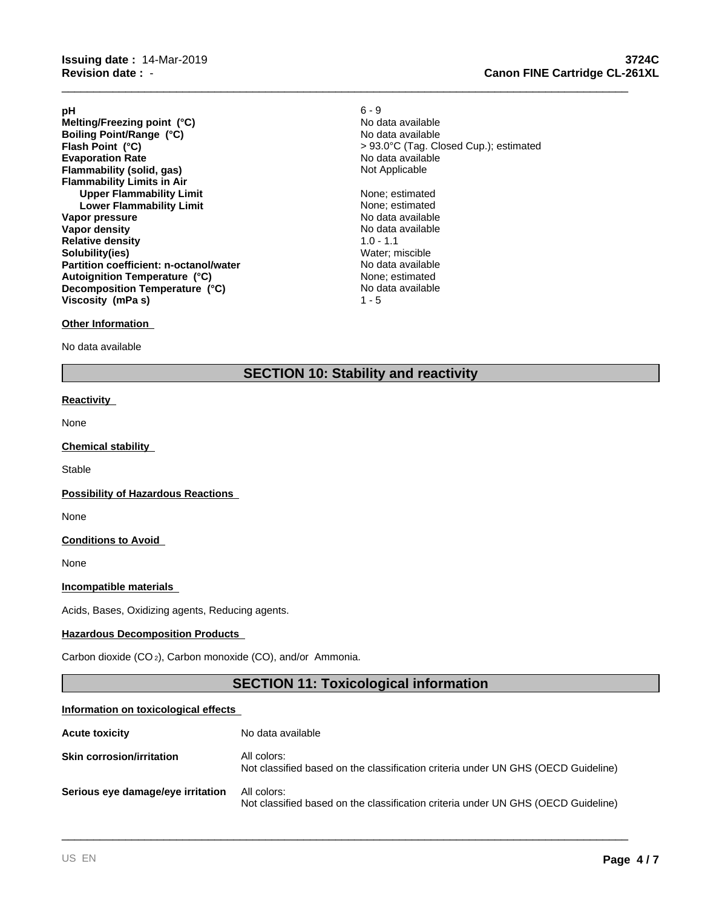**Evaporation Rate**<br> **Electronic Rate** No data available<br> **Flammability (solid, gas)**<br> **Example 2018 Flammability (solid, gas) Flammability Limits in Air Upper Flammability Limit** None; estimated **Lower Flammability Limit** None; estimated **Vapor pressure** No data available No data available **Vapor density No data available No data available Relative density** 1.0 - 1.1 **Solubility(ies)**<br> **Partition coefficient: n-octanol/water**<br> **Partition coefficient: n-octanol/water**<br> **Wo data available Partition coefficient: n-octanol/water Boiling Point/Range (°C) Viscosity (mPa s)** 1 - 5 **Melting/Freezing point (°C) Autoignition Temperature (°C) Decomposition Temperature (°C)**

## **Other Information**

No data available

**pH** 6 - 9 No data available **Flash Point (°C)** > 93.0°C (Tag. Closed Cup.); estimated No data available

None; estimated No data available

\_\_\_\_\_\_\_\_\_\_\_\_\_\_\_\_\_\_\_\_\_\_\_\_\_\_\_\_\_\_\_\_\_\_\_\_\_\_\_\_\_\_\_\_\_\_\_\_\_\_\_\_\_\_\_\_\_\_\_\_\_\_\_\_\_\_\_\_\_\_\_\_\_\_\_\_\_\_\_\_\_\_\_\_\_\_\_\_\_

## **SECTION 10: Stability and reactivity**

## **Reactivity**

None

## **Chemical stability**

**Stable** 

#### **Possibility of Hazardous Reactions**

None

## **Conditions to Avoid**

None

## **Incompatible materials**

Acids, Bases, Oxidizing agents, Reducing agents.

## **Hazardous Decomposition Products**

Carbon dioxide (CO 2), Carbon monoxide (CO), and/or Ammonia.

## **SECTION 11: Toxicological information**

\_\_\_\_\_\_\_\_\_\_\_\_\_\_\_\_\_\_\_\_\_\_\_\_\_\_\_\_\_\_\_\_\_\_\_\_\_\_\_\_\_\_\_\_\_\_\_\_\_\_\_\_\_\_\_\_\_\_\_\_\_\_\_\_\_\_\_\_\_\_\_\_\_\_\_\_\_\_\_\_\_\_\_\_\_\_\_\_\_

#### **Information on toxicological effects**

| <b>Acute toxicity</b>             | No data available                                                                                |
|-----------------------------------|--------------------------------------------------------------------------------------------------|
| <b>Skin corrosion/irritation</b>  | All colors:<br>Not classified based on the classification criteria under UN GHS (OECD Guideline) |
| Serious eye damage/eye irritation | All colors:<br>Not classified based on the classification criteria under UN GHS (OECD Guideline) |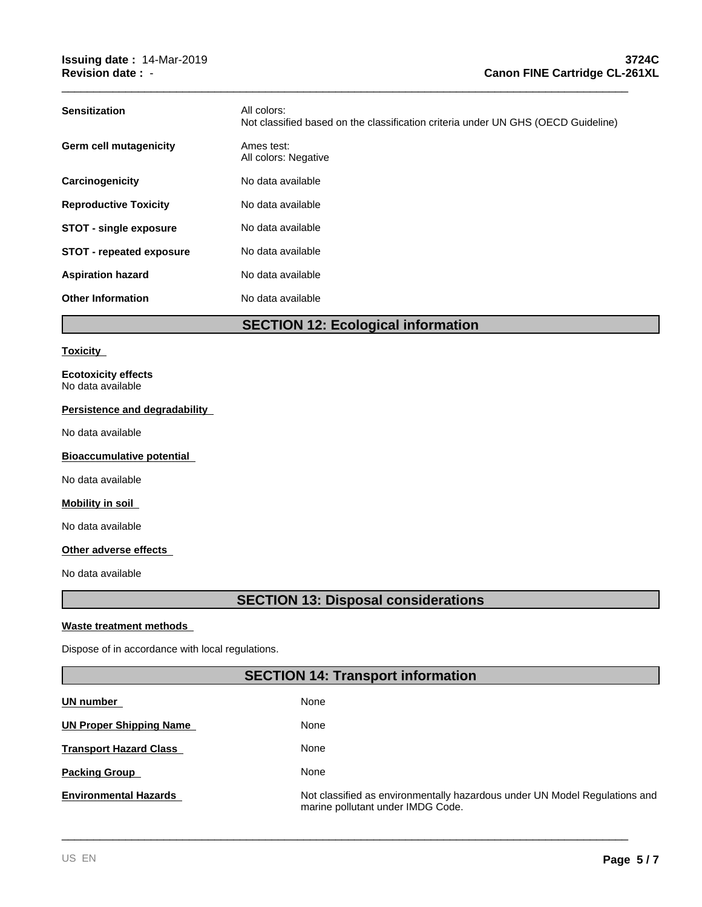| <b>Sensitization</b>            | All colors:<br>Not classified based on the classification criteria under UN GHS (OECD Guideline) |
|---------------------------------|--------------------------------------------------------------------------------------------------|
| Germ cell mutagenicity          | Ames test:<br>All colors: Negative                                                               |
| Carcinogenicity                 | No data available                                                                                |
| <b>Reproductive Toxicity</b>    | No data available                                                                                |
| <b>STOT - single exposure</b>   | No data available                                                                                |
| <b>STOT - repeated exposure</b> | No data available                                                                                |
| <b>Aspiration hazard</b>        | No data available                                                                                |
| <b>Other Information</b>        | No data available                                                                                |

\_\_\_\_\_\_\_\_\_\_\_\_\_\_\_\_\_\_\_\_\_\_\_\_\_\_\_\_\_\_\_\_\_\_\_\_\_\_\_\_\_\_\_\_\_\_\_\_\_\_\_\_\_\_\_\_\_\_\_\_\_\_\_\_\_\_\_\_\_\_\_\_\_\_\_\_\_\_\_\_\_\_\_\_\_\_\_\_\_

## **SECTION 12: Ecological information**

#### **Toxicity**

**Ecotoxicity effects** No data available

## **Persistence and degradability**

No data available

## **Bioaccumulative potential**

No data available

## **Mobility in soil**

No data available

## **Other adverse effects**

No data available

# **SECTION 13: Disposal considerations**

## **Waste treatment methods**

Dispose of in accordance with local regulations.

## **SECTION 14: Transport information Transport Hazard Class UN number**  None None **Packing Group**  None **UN Proper Shipping Name**  None

**Environmental Hazards Not classified as environmentally hazardous under UN Model Regulations and** marine pollutant under IMDG Code.

\_\_\_\_\_\_\_\_\_\_\_\_\_\_\_\_\_\_\_\_\_\_\_\_\_\_\_\_\_\_\_\_\_\_\_\_\_\_\_\_\_\_\_\_\_\_\_\_\_\_\_\_\_\_\_\_\_\_\_\_\_\_\_\_\_\_\_\_\_\_\_\_\_\_\_\_\_\_\_\_\_\_\_\_\_\_\_\_\_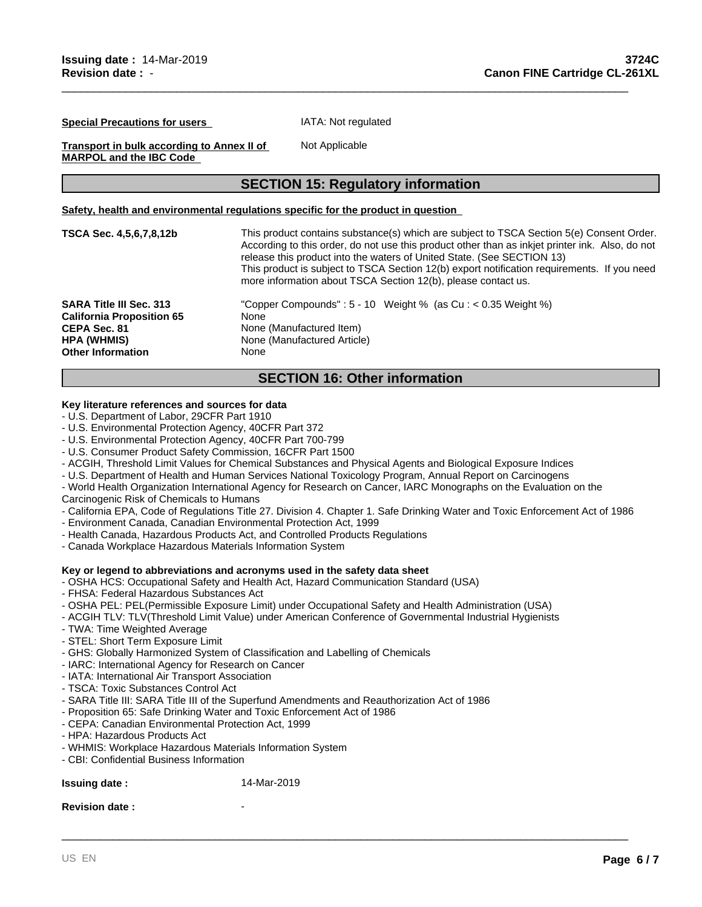**Special Precautions for users** 

IATA: Not regulated

Not Applicable

**Transport in bulk according to Annex II of MARPOL and the IBC Code** 

## **SECTION 15: Regulatory information**

\_\_\_\_\_\_\_\_\_\_\_\_\_\_\_\_\_\_\_\_\_\_\_\_\_\_\_\_\_\_\_\_\_\_\_\_\_\_\_\_\_\_\_\_\_\_\_\_\_\_\_\_\_\_\_\_\_\_\_\_\_\_\_\_\_\_\_\_\_\_\_\_\_\_\_\_\_\_\_\_\_\_\_\_\_\_\_\_\_

#### **Safety, health and environmental regulations specific for the product in question**

| TSCA Sec. 4,5,6,7,8,12b          | This product contains substance(s) which are subject to TSCA Section 5(e) Consent Order.<br>According to this order, do not use this product other than as inkiet printer ink. Also, do not<br>release this product into the waters of United State. (See SECTION 13)<br>This product is subject to TSCA Section 12(b) export notification requirements. If you need<br>more information about TSCA Section 12(b), please contact us. |
|----------------------------------|---------------------------------------------------------------------------------------------------------------------------------------------------------------------------------------------------------------------------------------------------------------------------------------------------------------------------------------------------------------------------------------------------------------------------------------|
| <b>SARA Title III Sec. 313</b>   | "Copper Compounds": $5 - 10$ Weight % (as Cu : $< 0.35$ Weight %)                                                                                                                                                                                                                                                                                                                                                                     |
| <b>California Proposition 65</b> | None                                                                                                                                                                                                                                                                                                                                                                                                                                  |
| <b>CEPA Sec. 81</b>              | None (Manufactured Item)                                                                                                                                                                                                                                                                                                                                                                                                              |
| HPA (WHMIS)                      | None (Manufactured Article)                                                                                                                                                                                                                                                                                                                                                                                                           |
| <b>Other Information</b>         | None                                                                                                                                                                                                                                                                                                                                                                                                                                  |

## **SECTION 16: Other information**

## **Key literature references and sources for data**

- U.S. Department of Labor, 29CFR Part 1910
- U.S. Environmental Protection Agency, 40CFR Part 372
- U.S. Environmental Protection Agency, 40CFR Part 700-799
- U.S. Consumer Product Safety Commission, 16CFR Part 1500
- ACGIH, Threshold Limit Values for Chemical Substances and Physical Agents and Biological Exposure Indices
- U.S. Department of Health and Human Services National Toxicology Program, Annual Report on Carcinogens
- World Health Organization International Agency for Research on Cancer, IARC Monographs on the Evaluation on the Carcinogenic Risk of Chemicals to Humans
- California EPA, Code of Regulations Title 27. Division 4. Chapter 1. Safe Drinking Water and Toxic Enforcement Act of 1986

\_\_\_\_\_\_\_\_\_\_\_\_\_\_\_\_\_\_\_\_\_\_\_\_\_\_\_\_\_\_\_\_\_\_\_\_\_\_\_\_\_\_\_\_\_\_\_\_\_\_\_\_\_\_\_\_\_\_\_\_\_\_\_\_\_\_\_\_\_\_\_\_\_\_\_\_\_\_\_\_\_\_\_\_\_\_\_\_\_

- Environment Canada, Canadian Environmental Protection Act, 1999
- Health Canada, Hazardous Products Act, and Controlled Products Regulations
- Canada Workplace Hazardous Materials Information System

## **Key or legend to abbreviations and acronyms used in the safety data sheet**

- OSHA HCS: Occupational Safety and Health Act, Hazard Communication Standard (USA)
- FHSA: Federal Hazardous Substances Act
- OSHA PEL: PEL(Permissible Exposure Limit) under Occupational Safety and Health Administration (USA)
- ACGIH TLV: TLV(Threshold Limit Value) under American Conference of Governmental Industrial Hygienists
- TWA: Time Weighted Average
- STEL: Short Term Exposure Limit
- GHS: Globally Harmonized System of Classification and Labelling of Chemicals
- IARC: International Agency for Research on Cancer
- IATA: International Air Transport Association
- TSCA: Toxic Substances Control Act
- SARA Title III: SARA Title III of the Superfund Amendments and Reauthorization Act of 1986
- Proposition 65: Safe Drinking Water and Toxic Enforcement Act of 1986
- CEPA: Canadian Environmental Protection Act, 1999
- HPA: Hazardous Products Act
- WHMIS: Workplace Hazardous Materials Information System
- CBI: Confidential Business Information

## **Issuing date :** 14-Mar-2019

#### **Revision date:**